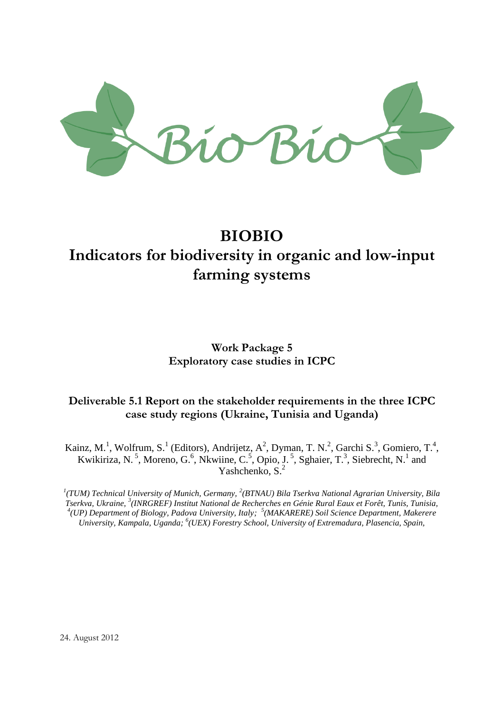

# **BIOBIO Indicators for biodiversity in organic and low-input farming systems**

## **Work Package 5 Exploratory case studies in ICPC**

## **Deliverable 5.1 Report on the stakeholder requirements in the three ICPC case study regions (Ukraine, Tunisia and Uganda)**

Kainz, M.<sup>1</sup>, Wolfrum, S.<sup>1</sup> (Editors), Andrijetz, A<sup>2</sup>, Dyman, T. N.<sup>2</sup>, Garchi S.<sup>3</sup>, Gomiero, T.<sup>4</sup>, Kwikiriza, N.<sup>5</sup>, Moreno, G.<sup>6</sup>, Nkwiine, C.<sup>5</sup>, Opio, J.<sup>5</sup>, Sghaier, T.<sup>3</sup>, Siebrecht, N.<sup>1</sup> and Yashchenko,  $S^2$ .

<sup>1</sup>(TUM) Technical University of Munich, Germany, <sup>2</sup>(BTNAU) Bila Tserkva National Agrarian University, Bila *Tserkva, Ukraine, <sup>3</sup> (INRGREF) Institut National de Recherches en Génie Rural Eaux et Forêt, Tunis, Tunisia, 4 (UP) Department of Biology, Padova University, Italy; 5 (MAKARERE) Soil Science Department, Makerere University, Kampala, Uganda; 6 (UEX) Forestry School, University of Extremadura, Plasencia, Spain,*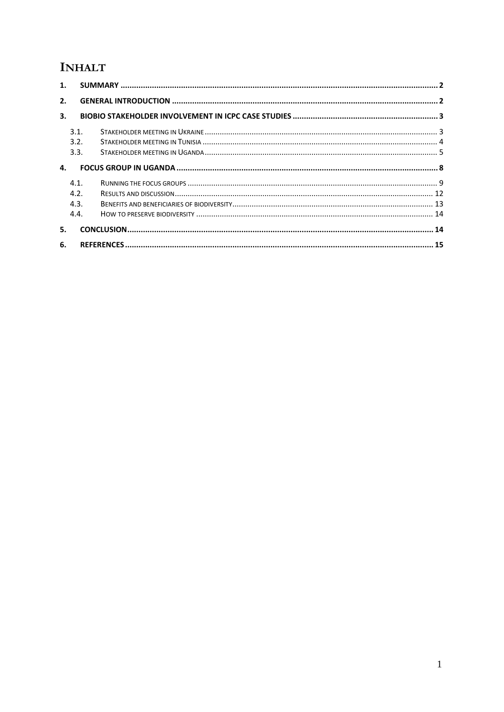## **INHALT**

| 1. |      |  |
|----|------|--|
| 2. |      |  |
| 3. |      |  |
|    | 3.1. |  |
|    | 3.2. |  |
|    | 3.3. |  |
| 4. |      |  |
|    | 4.1. |  |
|    | 4.2. |  |
|    | 4.3. |  |
|    | 4.4. |  |
| 5. |      |  |
| 6. |      |  |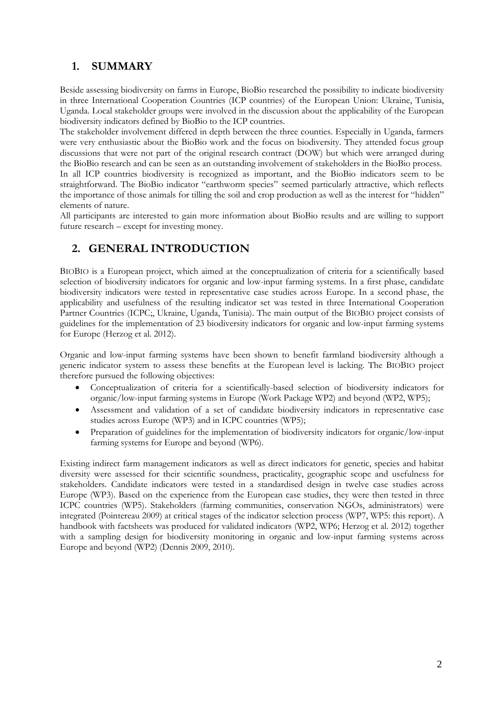## <span id="page-2-0"></span>**1. SUMMARY**

Beside assessing biodiversity on farms in Europe, BioBio researched the possibility to indicate biodiversity in three International Cooperation Countries (ICP countries) of the European Union: Ukraine, Tunisia, Uganda. Local stakeholder groups were involved in the discussion about the applicability of the European biodiversity indicators defined by BioBio to the ICP countries.

The stakeholder involvement differed in depth between the three counties. Especially in Uganda, farmers were very enthusiastic about the BioBio work and the focus on biodiversity. They attended focus group discussions that were not part of the original research contract (DOW) but which were arranged during the BioBio research and can be seen as an outstanding involvement of stakeholders in the BioBio process. In all ICP countries biodiversity is recognized as important, and the BioBio indicators seem to be straightforward. The BioBio indicator "earthworm species" seemed particularly attractive, which reflects the importance of those animals for tilling the soil and crop production as well as the interest for "hidden" elements of nature.

All participants are interested to gain more information about BioBio results and are willing to support future research – except for investing money.

## <span id="page-2-1"></span>**2. GENERAL INTRODUCTION**

BIOBIO is a European project, which aimed at the conceptualization of criteria for a scientifically based selection of biodiversity indicators for organic and low-input farming systems. In a first phase, candidate biodiversity indicators were tested in representative case studies across Europe. In a second phase, the applicability and usefulness of the resulting indicator set was tested in three International Cooperation Partner Countries (ICPC;, Ukraine, Uganda, Tunisia). The main output of the BIOBIO project consists of guidelines for the implementation of 23 biodiversity indicators for organic and low-input farming systems for Europe (Herzog et al. 2012).

Organic and low-input farming systems have been shown to benefit farmland biodiversity although a generic indicator system to assess these benefits at the European level is lacking. The BIOBIO project therefore pursued the following objectives:

- Conceptualization of criteria for a scientifically-based selection of biodiversity indicators for organic/low-input farming systems in Europe (Work Package WP2) and beyond (WP2, WP5);
- Assessment and validation of a set of candidate biodiversity indicators in representative case studies across Europe (WP3) and in ICPC countries (WP5);
- Preparation of guidelines for the implementation of biodiversity indicators for organic/low-input farming systems for Europe and beyond (WP6).

Existing indirect farm management indicators as well as direct indicators for genetic, species and habitat diversity were assessed for their scientific soundness, practicality, geographic scope and usefulness for stakeholders. Candidate indicators were tested in a standardised design in twelve case studies across Europe (WP3). Based on the experience from the European case studies, they were then tested in three ICPC countries (WP5). Stakeholders (farming communities, conservation NGOs, administrators) were integrated (Pointereau 2009) at critical stages of the indicator selection process (WP7, WP5: this report). A handbook with factsheets was produced for validated indicators (WP2, WP6; Herzog et al. 2012) together with a sampling design for biodiversity monitoring in organic and low-input farming systems across Europe and beyond (WP2) (Dennis 2009, 2010).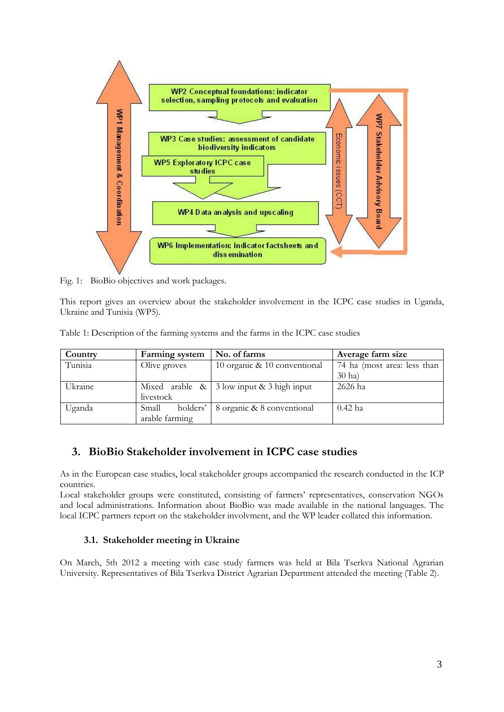

Fig. 1: BioBio objectives and work packages.

This report gives an overview about the stakeholder involvement in the ICPC case studies in Uganda, Ukraine and Tunisia (WP5).

| Country | Farming system    | No. of farms                                   | Average farm size           |
|---------|-------------------|------------------------------------------------|-----------------------------|
| Tunisia | Olive groves      | 10 organic & 10 conventional                   | 74 ha (most area: less than |
|         |                   |                                                | $30$ ha)                    |
| Ukraine |                   | Mixed arable $\&$ 3 low input $&$ 3 high input | 2626 ha                     |
|         | livestock         |                                                |                             |
| Uganda  | holders'<br>Small | 8 organic & 8 conventional                     | $0.42$ ha                   |
|         | arable farming    |                                                |                             |

Table 1: Description of the farming systems and the farms in the ICPC case studies

## <span id="page-3-0"></span>**3. BioBio Stakeholder involvement in ICPC case studies**

As in the European case studies, local stakeholder groups accompanied the research conducted in the ICP countries.

Local stakeholder groups were constituted, consisting of farmers" representatives, conservation NGOs and local administrations. Information about BioBio was made available in the national languages. The local ICPC partners report on the stakeholder involvment, and the WP leader collated this information.

#### **3.1. Stakeholder meeting in Ukraine**

<span id="page-3-1"></span>On March, 5th 2012 a meeting with case study farmers was held at Bila Tserkva National Agrarian University. Representatives of Bila Tserkva District Agrarian Department attended the meeting (Table 2).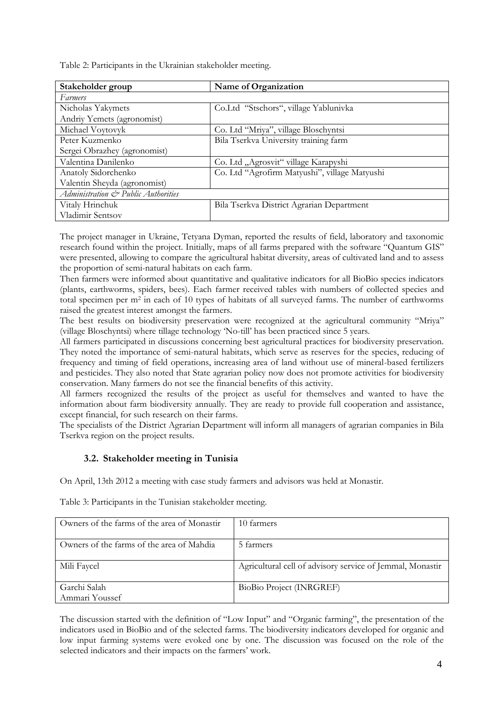Table 2: Participants in the Ukrainian stakeholder meeting.

| Stakeholder group                   | Name of Organization                          |  |
|-------------------------------------|-----------------------------------------------|--|
| Farmers                             |                                               |  |
| Nicholas Yakymets                   | Co.Ltd "Stschors", village Yablunivka         |  |
| Andriy Yemets (agronomist)          |                                               |  |
| Michael Voytovyk                    | Co. Ltd "Mriya", village Bloschyntsi          |  |
| Peter Kuzmenko                      | Bila Tserkva University training farm         |  |
| Sergei Obrazhey (agronomist)        |                                               |  |
| Valentina Danilenko                 | Co. Ltd "Agrosvit" village Karapyshi          |  |
| Anatoly Sidorchenko                 | Co. Ltd "Agrofirm Matyushi", village Matyushi |  |
| Valentin Sheyda (agronomist)        |                                               |  |
| Administration & Public Authorities |                                               |  |
| Vitaly Hrinchuk                     | Bila Tserkva District Agrarian Department     |  |
| Vladimir Sentsov                    |                                               |  |

The project manager in Ukraine, Tetyana Dyman, reported the results of field, laboratory and taxonomic research found within the project. Initially, maps of all farms prepared with the software "Quantum GIS" were presented, allowing to compare the agricultural habitat diversity, areas of cultivated land and to assess the proportion of semi-natural habitats on each farm.

Then farmers were informed about quantitative and qualitative indicators for all BioBio species indicators (plants, earthworms, spiders, bees). Each farmer received tables with numbers of collected species and total specimen per m<sup>2</sup> in each of 10 types of habitats of all surveyed farms. The number of earthworms raised the greatest interest amongst the farmers.

The best results on biodiversity preservation were recognized at the agricultural community "Mriya" (village Bloschyntsi) where tillage technology "No-till" has been practiced since 5 years.

All farmers participated in discussions concerning best agricultural practices for biodiversity preservation. They noted the importance of semi-natural habitats, which serve as reserves for the species, reducing of frequency and timing of field operations, increasing area of land without use of mineral-based fertilizers and pesticides. They also noted that State agrarian policy now does not promote activities for biodiversity conservation. Many farmers do not see the financial benefits of this activity.

All farmers recognized the results of the project as useful for themselves and wanted to have the information about farm biodiversity annually. They are ready to provide full cooperation and assistance, except financial, for such research on their farms.

The specialists of the District Agrarian Department will inform all managers of agrarian companies in Bila Tserkva region on the project results.

#### **3.2. Stakeholder meeting in Tunisia**

<span id="page-4-0"></span>On April, 13th 2012 a meeting with case study farmers and advisors was held at Monastir.

Table 3: Participants in the Tunisian stakeholder meeting.

| Owners of the farms of the area of Monastir | 10 farmers                                                |
|---------------------------------------------|-----------------------------------------------------------|
| Owners of the farms of the area of Mahdia   | 5 farmers                                                 |
| Mili Faycel                                 | Agricultural cell of advisory service of Jemmal, Monastir |
| Garchi Salah<br>Ammari Youssef              | <b>BioBio Project (INRGREF)</b>                           |

The discussion started with the definition of "Low Input" and "Organic farming", the presentation of the indicators used in BioBio and of the selected farms. The biodiversity indicators developed for organic and low input farming systems were evoked one by one. The discussion was focused on the role of the selected indicators and their impacts on the farmers' work.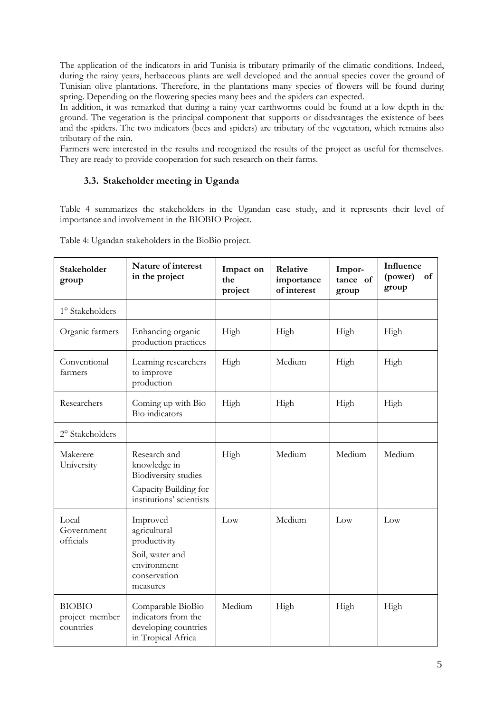The application of the indicators in arid Tunisia is tributary primarily of the climatic conditions. Indeed, during the rainy years, herbaceous plants are well developed and the annual species cover the ground of Tunisian olive plantations. Therefore, in the plantations many species of flowers will be found during spring. Depending on the flowering species many bees and the spiders can expected.

In addition, it was remarked that during a rainy year earthworms could be found at a low depth in the ground. The vegetation is the principal component that supports or disadvantages the existence of bees and the spiders. The two indicators (bees and spiders) are tributary of the vegetation, which remains also tributary of the rain.

Farmers were interested in the results and recognized the results of the project as useful for themselves. They are ready to provide cooperation for such research on their farms.

#### <span id="page-5-0"></span>**3.3. Stakeholder meeting in Uganda**

Table 4 summarizes the stakeholders in the Ugandan case study, and it represents their level of importance and involvement in the BIOBIO Project.

| Table 4: Ugandan stakeholders in the BioBio project. |  |
|------------------------------------------------------|--|
|                                                      |  |

| Stakeholder<br>group                         | Nature of interest<br>in the project                                                                             | Impact on<br>the<br>project | Relative<br>importance<br>of interest | Impor-<br>tance of<br>group | Influence<br>(power)<br>of<br>group |
|----------------------------------------------|------------------------------------------------------------------------------------------------------------------|-----------------------------|---------------------------------------|-----------------------------|-------------------------------------|
| 1° Stakeholders                              |                                                                                                                  |                             |                                       |                             |                                     |
| Organic farmers                              | Enhancing organic<br>production practices                                                                        | High                        | High                                  | High                        | High                                |
| Conventional<br>farmers                      | Learning researchers<br>to improve<br>production                                                                 | High                        | Medium                                | High                        | High                                |
| Researchers                                  | Coming up with Bio<br>Bio indicators                                                                             | High                        | High                                  | High                        | High                                |
| 2° Stakeholders                              |                                                                                                                  |                             |                                       |                             |                                     |
| Makerere<br>University                       | Research and<br>knowledge in<br><b>Biodiversity</b> studies<br>Capacity Building for<br>institutions' scientists | High                        | Medium                                | Medium                      | Medium                              |
| Local<br>Government<br>officials             | Improved<br>agricultural<br>productivity<br>Soil, water and<br>environment<br>conservation<br>measures           | Low                         | Medium                                | Low                         | Low                                 |
| <b>BIOBIO</b><br>project member<br>countries | Comparable BioBio<br>indicators from the<br>developing countries<br>in Tropical Africa                           | Medium                      | High                                  | High                        | High                                |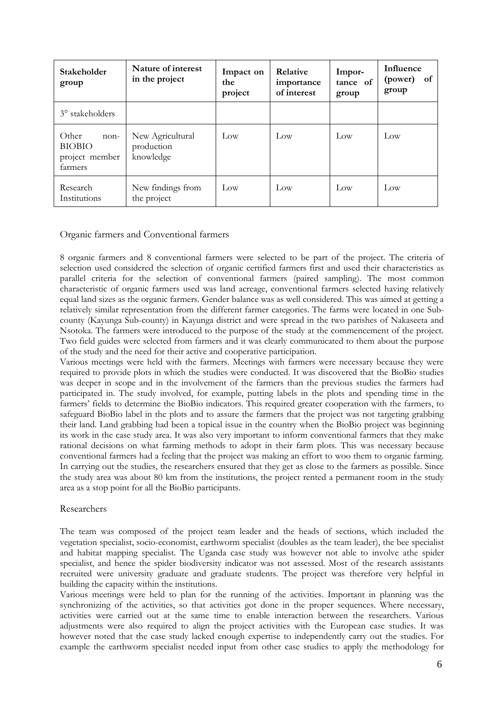| <b>Stakeholder</b><br>group                                   | Nature of interest<br>in the project        | Impact on<br>the<br>project | Relative<br>importance<br>of interest | Impor-<br>tance of<br>group | Influence<br>of<br>(power)<br>group |
|---------------------------------------------------------------|---------------------------------------------|-----------------------------|---------------------------------------|-----------------------------|-------------------------------------|
| 3° stakeholders                                               |                                             |                             |                                       |                             |                                     |
| Other<br>$non-$<br><b>BIOBIO</b><br>project member<br>farmers | New Agricultural<br>production<br>knowledge | Low                         | Low                                   | Low                         | Low                                 |
| Research<br>Institutions                                      | New findings from<br>the project            | Low                         | Low                                   | Low                         | Low                                 |

#### Organic farmers and Conventional farmers

8 organic farmers and 8 conventional farmers were selected to be part of the project. The criteria of selection used considered the selection of organic certified farmers first and used their characteristics as parallel criteria for the selection of conventional farmers (paired sampling). The most common characteristic of organic farmers used was land acreage, conventional farmers selected having relatively equal land sizes as the organic farmers. Gender balance was as well considered. This was aimed at getting a relatively similar representation from the different farmer categories. The farms were located in one Subcounty (Kayunga Sub-county) in Kayunga district and were spread in the two parishes of Nakaseeta and Nsotoka. The farmers were introduced to the purpose of the study at the commencement of the project. Two field guides were selected from farmers and it was clearly communicated to them about the purpose of the study and the need for their active and cooperative participation.

Various meetings were held with the farmers. Meetings with farmers were necessary because they were required to provide plots in which the studies were conducted. It was discovered that the BioBio studies was deeper in scope and in the involvement of the farmers than the previous studies the farmers had participated in. The study involved, for example, putting labels in the plots and spending time in the farmers' fields to determine the BioBio indicators. This required greater cooperation with the farmers, to safeguard BioBio label in the plots and to assure the farmers that the project was not targeting grabbing their land. Land grabbing had been a topical issue in the country when the BioBio project was beginning its work in the case study area. It was also very important to inform conventional farmers that they make rational decisions on what farming methods to adopt in their farm plots. This was necessary because conventional farmers had a feeling that the project was making an effort to woo them to organic farming. In carrying out the studies, the researchers ensured that they get as close to the farmers as possible. Since the study area was about 80 km from the institutions, the project rented a permanent room in the study area as a stop point for all the BioBio participants.

#### Researchers

The team was composed of the project team leader and the heads of sections, which included the vegetation specialist, socio-economist, earthworm specialist (doubles as the team leader), the bee specialist and habitat mapping specialist. The Uganda case study was however not able to involve athe spider specialist, and hence the spider biodiversity indicator was not assessed. Most of the research assistants recruited were university graduate and graduate students. The project was therefore very helpful in building the capacity within the institutions.

Various meetings were held to plan for the running of the activities. Important in planning was the synchronizing of the activities, so that activities got done in the proper sequences. Where necessary, activities were carried out at the same time to enable interaction between the researchers. Various adjustments were also required to align the project activities with the European case studies. It was however noted that the case study lacked enough expertise to independently carry out the studies. For example the earthworm specialist needed input from other case studies to apply the methodology for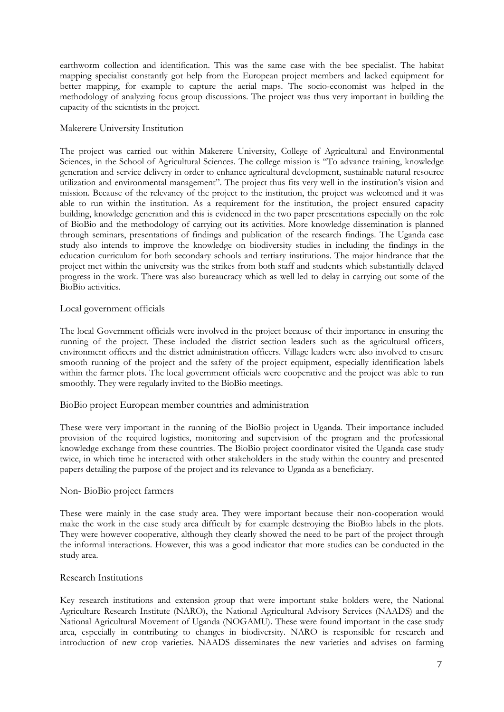earthworm collection and identification. This was the same case with the bee specialist. The habitat mapping specialist constantly got help from the European project members and lacked equipment for better mapping, for example to capture the aerial maps. The socio-economist was helped in the methodology of analyzing focus group discussions. The project was thus very important in building the capacity of the scientists in the project.

#### Makerere University Institution

The project was carried out within Makerere University, College of Agricultural and Environmental Sciences, in the School of Agricultural Sciences. The college mission is "To advance training, knowledge generation and service delivery in order to enhance agricultural development, sustainable natural resource utilization and environmental management". The project thus fits very well in the institution"s vision and mission. Because of the relevancy of the project to the institution, the project was welcomed and it was able to run within the institution. As a requirement for the institution, the project ensured capacity building, knowledge generation and this is evidenced in the two paper presentations especially on the role of BioBio and the methodology of carrying out its activities. More knowledge dissemination is planned through seminars, presentations of findings and publication of the research findings. The Uganda case study also intends to improve the knowledge on biodiversity studies in including the findings in the education curriculum for both secondary schools and tertiary institutions. The major hindrance that the project met within the university was the strikes from both staff and students which substantially delayed progress in the work. There was also bureaucracy which as well led to delay in carrying out some of the BioBio activities.

#### Local government officials

The local Government officials were involved in the project because of their importance in ensuring the running of the project. These included the district section leaders such as the agricultural officers, environment officers and the district administration officers. Village leaders were also involved to ensure smooth running of the project and the safety of the project equipment, especially identification labels within the farmer plots. The local government officials were cooperative and the project was able to run smoothly. They were regularly invited to the BioBio meetings.

BioBio project European member countries and administration

These were very important in the running of the BioBio project in Uganda. Their importance included provision of the required logistics, monitoring and supervision of the program and the professional knowledge exchange from these countries. The BioBio project coordinator visited the Uganda case study twice, in which time he interacted with other stakeholders in the study within the country and presented papers detailing the purpose of the project and its relevance to Uganda as a beneficiary.

#### Non- BioBio project farmers

These were mainly in the case study area. They were important because their non-cooperation would make the work in the case study area difficult by for example destroying the BioBio labels in the plots. They were however cooperative, although they clearly showed the need to be part of the project through the informal interactions. However, this was a good indicator that more studies can be conducted in the study area.

#### Research Institutions

Key research institutions and extension group that were important stake holders were, the National Agriculture Research Institute (NARO), the National Agricultural Advisory Services (NAADS) and the National Agricultural Movement of Uganda (NOGAMU). These were found important in the case study area, especially in contributing to changes in biodiversity. NARO is responsible for research and introduction of new crop varieties. NAADS disseminates the new varieties and advises on farming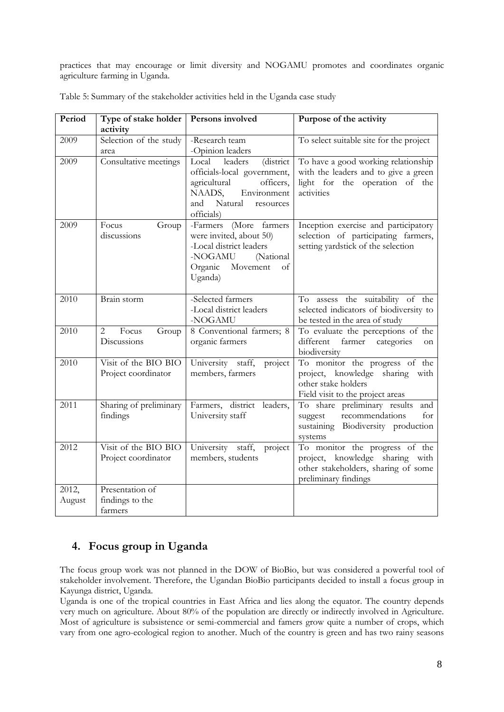practices that may encourage or limit diversity and NOGAMU promotes and coordinates organic agriculture farming in Uganda.

| Period | Type of stake holder             | Persons involved                 | Purpose of the activity                                                     |
|--------|----------------------------------|----------------------------------|-----------------------------------------------------------------------------|
|        | activity                         |                                  |                                                                             |
| 2009   | Selection of the study           | -Research team                   | To select suitable site for the project                                     |
|        | area                             | -Opinion leaders                 |                                                                             |
| 2009   | Consultative meetings            | (district<br>Local<br>leaders    | To have a good working relationship                                         |
|        |                                  | officials-local government,      | with the leaders and to give a green                                        |
|        |                                  | agricultural<br>officers,        | light for the operation of the                                              |
|        |                                  | NAADS,<br>Environment<br>Natural | activities                                                                  |
|        |                                  | and<br>resources<br>officials)   |                                                                             |
| 2009   | Focus                            | (More farmers<br>-Farmers        |                                                                             |
|        | Group<br>discussions             | were invited, about 50)          | Inception exercise and participatory<br>selection of participating farmers, |
|        |                                  | -Local district leaders          | setting yardstick of the selection                                          |
|        |                                  | -NOGAMU<br>(National             |                                                                             |
|        |                                  | Organic<br>Movement<br>of        |                                                                             |
|        |                                  | Uganda)                          |                                                                             |
|        |                                  |                                  |                                                                             |
| 2010   | Brain storm                      | -Selected farmers                | To assess the suitability of the                                            |
|        |                                  | -Local district leaders          | selected indicators of biodiversity to                                      |
|        |                                  | -NOGAMU                          | be tested in the area of study                                              |
| 2010   | Focus<br>$\overline{2}$<br>Group | 8 Conventional farmers; 8        | To evaluate the perceptions of the                                          |
|        | Discussions                      | organic farmers                  | different<br>farmer<br>categories<br>on                                     |
|        |                                  |                                  | biodiversity                                                                |
| 2010   | Visit of the BIO BIO             | University staff,<br>project     | To monitor the progress of the<br>project, knowledge sharing with           |
|        | Project coordinator              | members, farmers                 | other stake holders                                                         |
|        |                                  |                                  | Field visit to the project areas                                            |
| 2011   | Sharing of preliminary           | Farmers, district leaders,       | To share preliminary results and                                            |
|        | findings                         | University staff                 | recommendations<br>suggest<br>for                                           |
|        |                                  |                                  | sustaining Biodiversity production                                          |
|        |                                  |                                  | systems                                                                     |
| 2012   | Visit of the BIO BIO             | University staff,<br>project     | To monitor the progress of the                                              |
|        | Project coordinator              | members, students                | project, knowledge sharing with                                             |
|        |                                  |                                  | other stakeholders, sharing of some                                         |
|        |                                  |                                  | preliminary findings                                                        |
| 2012,  | Presentation of                  |                                  |                                                                             |
| August | findings to the                  |                                  |                                                                             |
|        | farmers                          |                                  |                                                                             |

Table 5: Summary of the stakeholder activities held in the Uganda case study

## <span id="page-8-0"></span>**4. Focus group in Uganda**

The focus group work was not planned in the DOW of BioBio, but was considered a powerful tool of stakeholder involvement. Therefore, the Ugandan BioBio participants decided to install a focus group in Kayunga district, Uganda.

Uganda is one of the tropical countries in East Africa and lies along the equator. The country depends very much on agriculture. About 80% of the population are directly or indirectly involved in Agriculture. Most of agriculture is subsistence or semi-commercial and famers grow quite a number of crops, which vary from one agro-ecological region to another. Much of the country is green and has two rainy seasons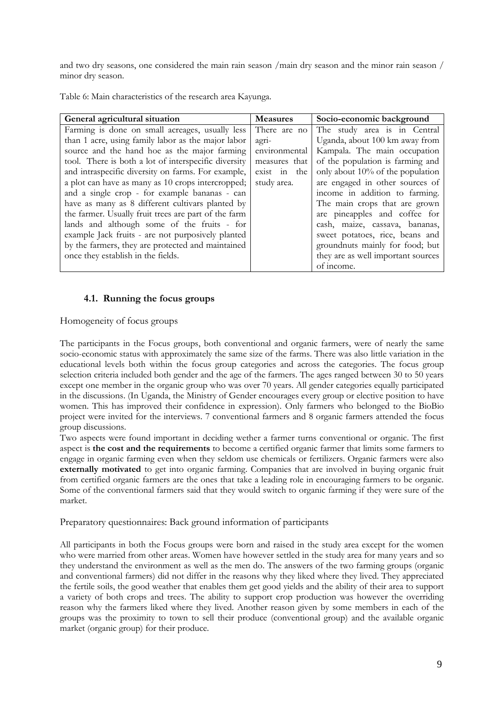and two dry seasons, one considered the main rain season /main dry season and the minor rain season / minor dry season.

Table 6: Main characteristics of the research area Kayunga.

| General agricultural situation                       | <b>Measures</b> | Socio-economic background           |
|------------------------------------------------------|-----------------|-------------------------------------|
| Farming is done on small acreages, usually less      | There are no    | The study area is in Central        |
| than 1 acre, using family labor as the major labor   | agri-           | Uganda, about 100 km away from      |
| source and the hand hoe as the major farming         | environmental   | Kampala. The main occupation        |
| tool. There is both a lot of interspecific diversity | measures that   | of the population is farming and    |
| and intraspecific diversity on farms. For example,   | exist in the    | only about $10\%$ of the population |
| a plot can have as many as 10 crops intercropped;    | study area.     | are engaged in other sources of     |
| and a single crop - for example bananas - can        |                 | income in addition to farming.      |
| have as many as 8 different cultivars planted by     |                 | The main crops that are grown       |
| the farmer. Usually fruit trees are part of the farm |                 | are pineapples and coffee for       |
| lands and although some of the fruits - for          |                 | cash, maize, cassava, bananas,      |
| example Jack fruits - are not purposively planted    |                 | sweet potatoes, rice, beans and     |
| by the farmers, they are protected and maintained    |                 | groundnuts mainly for food; but     |
| once they establish in the fields.                   |                 | they are as well important sources  |
|                                                      |                 | of income.                          |

#### **4.1. Running the focus groups**

#### <span id="page-9-0"></span>Homogeneity of focus groups

The participants in the Focus groups, both conventional and organic farmers, were of nearly the same socio-economic status with approximately the same size of the farms. There was also little variation in the educational levels both within the focus group categories and across the categories. The focus group selection criteria included both gender and the age of the farmers. The ages ranged between 30 to 50 years except one member in the organic group who was over 70 years. All gender categories equally participated in the discussions. (In Uganda, the Ministry of Gender encourages every group or elective position to have women. This has improved their confidence in expression). Only farmers who belonged to the BioBio project were invited for the interviews. 7 conventional farmers and 8 organic farmers attended the focus group discussions.

Two aspects were found important in deciding wether a farmer turns conventional or organic. The first aspect is **the cost and the requirements** to become a certified organic farmer that limits some farmers to engage in organic farming even when they seldom use chemicals or fertilizers. Organic farmers were also **externally motivated** to get into organic farming. Companies that are involved in buying organic fruit from certified organic farmers are the ones that take a leading role in encouraging farmers to be organic. Some of the conventional farmers said that they would switch to organic farming if they were sure of the market.

Preparatory questionnaires: Back ground information of participants

All participants in both the Focus groups were born and raised in the study area except for the women who were married from other areas. Women have however settled in the study area for many years and so they understand the environment as well as the men do. The answers of the two farming groups (organic and conventional farmers) did not differ in the reasons why they liked where they lived. They appreciated the fertile soils, the good weather that enables them get good yields and the ability of their area to support a variety of both crops and trees. The ability to support crop production was however the overriding reason why the farmers liked where they lived. Another reason given by some members in each of the groups was the proximity to town to sell their produce (conventional group) and the available organic market (organic group) for their produce.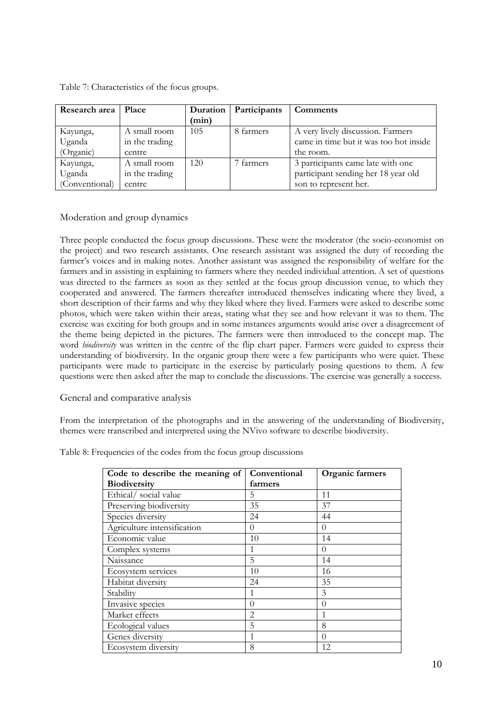Table 7: Characteristics of the focus groups.

| Research area  | Place          | Duration | Participants | Comments                               |
|----------------|----------------|----------|--------------|----------------------------------------|
|                |                | (min)    |              |                                        |
| Kayunga,       | A small room   | 105      | 8 farmers    | A very lively discussion. Farmers      |
| Uganda         | in the trading |          |              | came in time but it was too hot inside |
| (Organic)      | centre         |          |              | the room.                              |
| Kayunga,       | A small room   | 120      | farmers      | 3 participants came late with one      |
| Uganda         | in the trading |          |              | participant sending her 18 year old    |
| (Conventional) | centre         |          |              | son to represent her.                  |

#### Moderation and group dynamics

Three people conducted the focus group discussions. These were the moderator (the socio-economist on the project) and two research assistants. One research assistant was assigned the duty of recording the farmer"s voices and in making notes. Another assistant was assigned the responsibility of welfare for the farmers and in assisting in explaining to farmers where they needed individual attention. A set of questions was directed to the farmers as soon as they settled at the focus group discussion venue, to which they cooperated and answered. The farmers thereafter introduced themselves indicating where they lived, a short description of their farms and why they liked where they lived. Farmers were asked to describe some photos, which were taken within their areas, stating what they see and how relevant it was to them. The exercise was exciting for both groups and in some instances arguments would arise over a disagreement of the theme being depicted in the pictures. The farmers were then introduced to the concept map. The word *biodiversity* was written in the centre of the flip chart paper. Farmers were guided to express their understanding of biodiversity. In the organic group there were a few participants who were quiet. These participants were made to participate in the exercise by particularly posing questions to them. A few questions were then asked after the map to conclude the discussions. The exercise was generally a success.

#### General and comparative analysis

From the interpretation of the photographs and in the answering of the understanding of Biodiversity, themes were transcribed and interpreted using the NVivo software to describe biodiversity.

Table 8: Frequencies of the codes from the focus group discussions

| Code to describe the meaning of | Conventional | Organic farmers  |
|---------------------------------|--------------|------------------|
| <b>Biodiversity</b>             | farmers      |                  |
| Ethical/social value            | 5            | 11               |
| Preserving biodiversity         | 35           | 37               |
| Species diversity               | 24           | 44               |
| Agriculture intensification     | $\Omega$     | $\Omega$         |
| Economic value                  | 10           | 14               |
| Complex systems                 |              | $\theta$         |
| Naissance                       | 5            | 14               |
| Ecosystem services              | 10           | 16               |
| Habitat diversity               | 24           | 35               |
| Stability                       |              | 3                |
| Invasive species                | $\theta$     | $\left( \right)$ |
| Market effects                  | 2            | 1                |
| Ecological values               | 5            | 8                |
| Genes diversity                 |              | $\left( \right)$ |
| Ecosystem diversity             | 8            | 12               |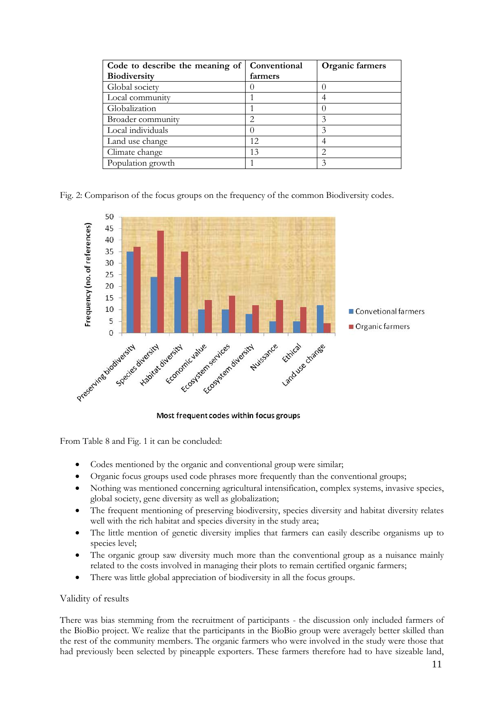| Code to describe the meaning of | Conventional | Organic farmers |
|---------------------------------|--------------|-----------------|
| <b>Biodiversity</b>             | farmers      |                 |
| Global society                  |              |                 |
| Local community                 |              |                 |
| Globalization                   |              |                 |
| Broader community               |              |                 |
| Local individuals               |              |                 |
| Land use change                 | 12           |                 |
| Climate change                  | 13           |                 |
| Population growth               |              |                 |

Fig. 2: Comparison of the focus groups on the frequency of the common Biodiversity codes.



Most frequent codes within focus groups

From Table 8 and Fig. 1 it can be concluded:

- Codes mentioned by the organic and conventional group were similar;
- Organic focus groups used code phrases more frequently than the conventional groups;
- Nothing was mentioned concerning agricultural intensification, complex systems, invasive species, global society, gene diversity as well as globalization;
- The frequent mentioning of preserving biodiversity, species diversity and habitat diversity relates well with the rich habitat and species diversity in the study area;
- The little mention of genetic diversity implies that farmers can easily describe organisms up to species level;
- The organic group saw diversity much more than the conventional group as a nuisance mainly related to the costs involved in managing their plots to remain certified organic farmers;
- There was little global appreciation of biodiversity in all the focus groups.

#### Validity of results

There was bias stemming from the recruitment of participants - the discussion only included farmers of the BioBio project. We realize that the participants in the BioBio group were averagely better skilled than the rest of the community members. The organic farmers who were involved in the study were those that had previously been selected by pineapple exporters. These farmers therefore had to have sizeable land,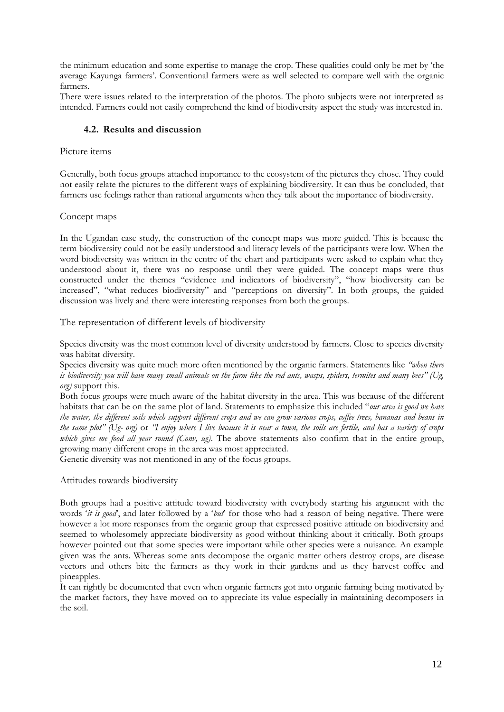the minimum education and some expertise to manage the crop. These qualities could only be met by "the average Kayunga farmers". Conventional farmers were as well selected to compare well with the organic farmers.

There were issues related to the interpretation of the photos. The photo subjects were not interpreted as intended. Farmers could not easily comprehend the kind of biodiversity aspect the study was interested in.

#### **4.2. Results and discussion**

#### <span id="page-12-0"></span>Picture items

Generally, both focus groups attached importance to the ecosystem of the pictures they chose. They could not easily relate the pictures to the different ways of explaining biodiversity. It can thus be concluded, that farmers use feelings rather than rational arguments when they talk about the importance of biodiversity.

#### Concept maps

In the Ugandan case study, the construction of the concept maps was more guided. This is because the term biodiversity could not be easily understood and literacy levels of the participants were low. When the word biodiversity was written in the centre of the chart and participants were asked to explain what they understood about it, there was no response until they were guided. The concept maps were thus constructed under the themes "evidence and indicators of biodiversity", "how biodiversity can be increased", "what reduces biodiversity" and "perceptions on diversity". In both groups, the guided discussion was lively and there were interesting responses from both the groups.

#### The representation of different levels of biodiversity

Species diversity was the most common level of diversity understood by farmers. Close to species diversity was habitat diversity.

Species diversity was quite much more often mentioned by the organic farmers. Statements like *"when there is biodiversity you will have many small animals on the farm like the red ants, wasps, spiders, termites and many bees" (Ug, org)* support this.

Both focus groups were much aware of the habitat diversity in the area. This was because of the different habitats that can be on the same plot of land. Statements to emphasize this included "*our area is good we have the water, the different soils which support different crops and we can grow various crops, coffee trees, bananas and beans in the same plot" (Ug- org)* or *"I enjoy where I live because it is near a town, the soils are fertile, and has a variety of crops which gives me food all year round (Conv, ug)*. The above statements also confirm that in the entire group, growing many different crops in the area was most appreciated.

Genetic diversity was not mentioned in any of the focus groups.

#### Attitudes towards biodiversity

Both groups had a positive attitude toward biodiversity with everybody starting his argument with the words '*it is good*', and later followed by a '*but*' for those who had a reason of being negative. There were however a lot more responses from the organic group that expressed positive attitude on biodiversity and seemed to wholesomely appreciate biodiversity as good without thinking about it critically. Both groups however pointed out that some species were important while other species were a nuisance. An example given was the ants. Whereas some ants decompose the organic matter others destroy crops, are disease vectors and others bite the farmers as they work in their gardens and as they harvest coffee and pineapples.

It can rightly be documented that even when organic farmers got into organic farming being motivated by the market factors, they have moved on to appreciate its value especially in maintaining decomposers in the soil.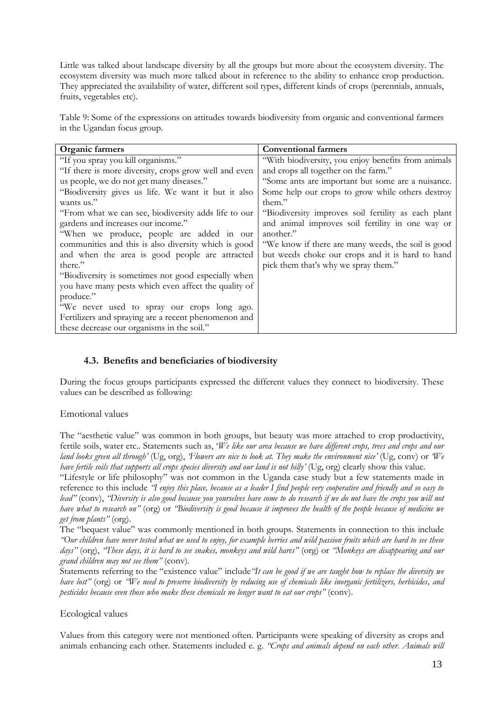Little was talked about landscape diversity by all the groups but more about the ecosystem diversity. The ecosystem diversity was much more talked about in reference to the ability to enhance crop production. They appreciated the availability of water, different soil types, different kinds of crops (perennials, annuals, fruits, vegetables etc).

Table 9: Some of the expressions on attitudes towards biodiversity from organic and conventional farmers in the Ugandan focus group.

| Organic farmers                                       | <b>Conventional farmers</b>                         |
|-------------------------------------------------------|-----------------------------------------------------|
| "If you spray you kill organisms."                    | "With biodiversity, you enjoy benefits from animals |
| "If there is more diversity, crops grow well and even | and crops all together on the farm."                |
| us people, we do not get many diseases."              | "Some ants are important but some are a nuisance.   |
| "Biodiversity gives us life. We want it but it also   | Some help our crops to grow while others destroy    |
| wants us."                                            | them."                                              |
| "From what we can see, biodiversity adds life to our  | "Biodiversity improves soil fertility as each plant |
| gardens and increases our income."                    | and animal improves soil fertility in one way or    |
| "When we produce, people are added in our             | another."                                           |
| communities and this is also diversity which is good  | "We know if there are many weeds, the soil is good  |
| and when the area is good people are attracted        | but weeds choke our crops and it is hard to hand    |
| there."                                               | pick them that's why we spray them."                |
| "Biodiversity is sometimes not good especially when   |                                                     |
| you have many pests which even affect the quality of  |                                                     |
| produce."                                             |                                                     |
| "We never used to spray our crops long ago.           |                                                     |
| Fertilizers and spraying are a recent phenomenon and  |                                                     |
| these decrease our organisms in the soil."            |                                                     |

## **4.3. Benefits and beneficiaries of biodiversity**

<span id="page-13-0"></span>During the focus groups participants expressed the different values they connect to biodiversity. These values can be described as following:

#### Emotional values

The "aesthetic value" was common in both groups, but beauty was more attached to crop productivity, fertile soils, water etc.. Statements such as, "*We like our area because we have different crops, trees and crops and our land looks green all through"* (Ug, org), *"Flowers are nice to look at. They make the environment nice"* (Ug, conv) or *"We have fertile soils that supports all crops species diversity and our land is not hilly"* (Ug, org) clearly show this value.

"Lifestyle or life philosophy" was not common in the Uganda case study but a few statements made in reference to this include *"I enjoy this place, because as a leader I find people very cooperative and friendly and so easy to lead"* (conv), *"Diversity is also good because you yourselves have come to do research if we do not have the crops you will not have what to research on"* (org) or *"Biodiversity is good because it improves the health of the people because of medicine we get from plants"* (org).

The "bequest value" was commonly mentioned in both groups. Statements in connection to this include *"Our children have never tested what we used to enjoy, for example berries and wild passion fruits which are hard to see these days"* (org), *"These days, it is hard to see snakes, monkeys and wild hares"* (org) or *"Monkeys are disappearing and our grand children may not see them"* (conv)*.*

Statements referring to the "existence value" include*"It can be good if we are taught how to replace the diversity we have lost"* (org) or *"We need to preserve biodiversity by reducing use of chemicals like inorganic fertilizers, herbicides, and pesticides because even those who make these chemicals no longer want to eat our crops"* (conv).

#### Ecological values

Values from this category were not mentioned often. Participants were speaking of diversity as crops and animals enhancing each other. Statements included e. g. *"Crops and animals depend on each other. Animals will*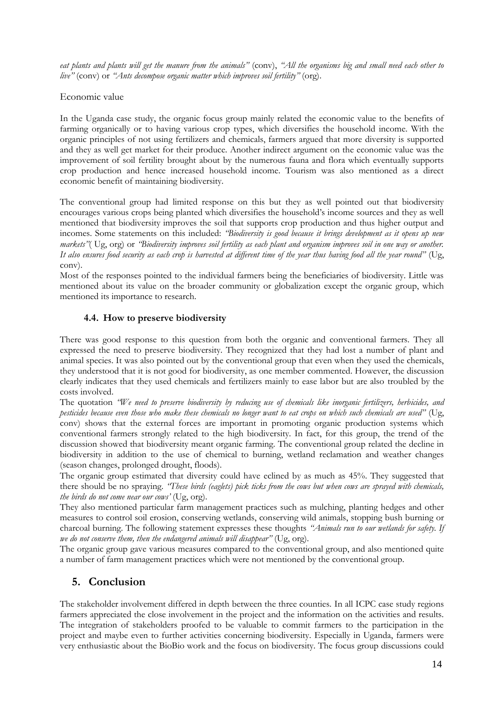*eat plants and plants will get the manure from the animals"* (conv), *"All the organisms big and small need each other to live"* (conv) or *"Ants decompose organic matter which improves soil fertility"* (org).

Economic value

In the Uganda case study, the organic focus group mainly related the economic value to the benefits of farming organically or to having various crop types, which diversifies the household income. With the organic principles of not using fertilizers and chemicals, farmers argued that more diversity is supported and they as well get market for their produce. Another indirect argument on the economic value was the improvement of soil fertility brought about by the numerous fauna and flora which eventually supports crop production and hence increased household income. Tourism was also mentioned as a direct economic benefit of maintaining biodiversity.

The conventional group had limited response on this but they as well pointed out that biodiversity encourages various crops being planted which diversifies the household"s income sources and they as well mentioned that biodiversity improves the soil that supports crop production and thus higher output and incomes. Some statements on this included: *"Biodiversity is good because it brings development as it opens up new markets"*( Ug, org) or *"Biodiversity improves soil fertility as each plant and organism improves soil in one way or another. It also ensures food security as each crop is harvested at different time of the year thus having food all the year round"* (Ug, conv).

Most of the responses pointed to the individual farmers being the beneficiaries of biodiversity. Little was mentioned about its value on the broader community or globalization except the organic group, which mentioned its importance to research.

#### **4.4. How to preserve biodiversity**

<span id="page-14-0"></span>There was good response to this question from both the organic and conventional farmers. They all expressed the need to preserve biodiversity. They recognized that they had lost a number of plant and animal species. It was also pointed out by the conventional group that even when they used the chemicals, they understood that it is not good for biodiversity, as one member commented. However, the discussion clearly indicates that they used chemicals and fertilizers mainly to ease labor but are also troubled by the costs involved.

The quotation *"We need to preserve biodiversity by reducing use of chemicals like inorganic fertilizers, herbicides, and pesticides because even those who make these chemicals no longer want to eat crops on which such chemicals are used"* (Ug, conv) shows that the external forces are important in promoting organic production systems which conventional farmers strongly related to the high biodiversity. In fact, for this group, the trend of the discussion showed that biodiversity meant organic farming. The conventional group related the decline in biodiversity in addition to the use of chemical to burning, wetland reclamation and weather changes (season changes, prolonged drought, floods).

The organic group estimated that diversity could have eclined by as much as 45%. They suggested that there should be no spraying. *"These birds (eaglets) pick ticks from the cows but when cows are sprayed with chemicals, the birds do not come near our cows"* (Ug, org).

They also mentioned particular farm management practices such as mulching, planting hedges and other measures to control soil erosion, conserving wetlands, conserving wild animals, stopping bush burning or charcoal burning. The following statement expresses these thoughts *"Animals run to our wetlands for safety. If we do not conserve them, then the endangered animals will disappear"* (Ug, org).

The organic group gave various measures compared to the conventional group, and also mentioned quite a number of farm management practices which were not mentioned by the conventional group.

## <span id="page-14-1"></span>**5. Conclusion**

The stakeholder involvement differed in depth between the three counties. In all ICPC case study regions farmers appreciated the close involvement in the project and the information on the activities and results. The integration of stakeholders proofed to be valuable to commit farmers to the participation in the project and maybe even to further activities concerning biodiversity. Especially in Uganda, farmers were very enthusiastic about the BioBio work and the focus on biodiversity. The focus group discussions could